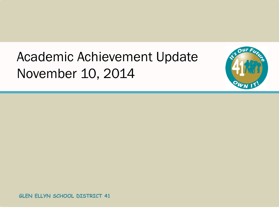## Academic Achievement Update November 10, 2014

 $\mathbf{u}$ r

**GLEN ELLYN SCHOOL DISTRICT 41**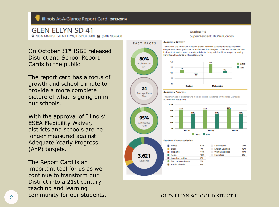#### Illinois At-A-Glance Report Card 2013-2014

## **GLEN ELLYN SD 41**

9 793 N MAIN ST GLEN ELLYN, IL 60137 3900 <a>(630) 790-6400

#### Grades: P-8

Superintendent: Dr.Paul Gordon

On October 31st ISBE released District and School Report Cards to the public.

The report card has a focus of growth and school climate to provide a more complete picture of what is going on in our schools.

With the approval of Illinois' ESEA Flexibility Waiver, districts and schools are no longer measured against Adequate Yearly Progress (AYP) targets.

The Report Card is an important tool for us as we continue to transform our District into a 21st century teaching and learning community for our students.



**Academic Growth** 

### **COMMUNITY FOR OUR STUGENTS.** GLEN ELLYN SCHOOL DISTRICT 41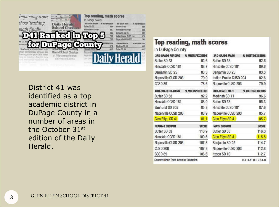

District 41 was identified as a top academic district in DuPage County in a number of areas in the October 31st edition of the Daily Herald.

## **Top reading, math scores**

In DuPage County

| <b>3RD-GRADE READING</b> | % MEETS/EXCEEDS |
|--------------------------|-----------------|
| Butler SD 53             | 92.6            |
| Hinsdale CCSD 181        | 88.7            |
| Benjamin SD 25           | 83.3            |
| Naperville CUSD 203      | 79.0            |
| CCSD 89                  | 78.6            |
| 8TH-GRADE READING        | % MEETS/EXCEEDS |
| Butler SD 53             | 92.2            |
| Hinsdale CCSD 181        | 88.0            |
| Elmhurst SD 205          | 85.3            |
| Naperville CUSD 203      | 83.9            |
| Glen Ellyn SD 41         | 81.1            |
| <b>READING GROWTH</b>    | <b>SCORE</b>    |
| Butler SD 53             | 110.9           |
| Hinsdale CCSD 181        | 109.6           |
| Naperville CUSD 203      | 107.8           |
| <b>CUSD 200</b>          | 107.3           |
| CCSD 89                  | 106.6           |
|                          |                 |

| <b>3RD-GRADE MATH</b>   | % MEETS/EXCEEDS |
|-------------------------|-----------------|
| Butler SD 53            | 92.6            |
| Hinsdale CCSD 181       | 89.6            |
| Benjamin SD 25          | 83.3            |
| Indian Prairie CUSD 204 | 82.6            |
| Naperville CUSD 203     | 79.9            |
| <b>8TH-GRADE MATH</b>   | % MEETS/EXCEEDS |
| Medinah SD 11           | 96.6            |
| Butler SD 53            | 95.3            |
| Hinsdale CCSD 181       | 87.6            |
| Naperville CUSD 203     | 85.7            |
| Glen Ellyn SD 41        | 85.7            |
| <b>MATH GROWTH</b>      | <b>SCORE</b>    |
| Butler SD 53            | 116.3           |
| Glen Ellyn SD 41        | 115.5           |
| Benjamin SD 25          | 114.7           |
| Naperville CUSD 203     | 112.8           |
| Itasca SD 10            | 112.7           |
|                         |                 |

Source: Illinois State Board of Education

**DAILY HERALD**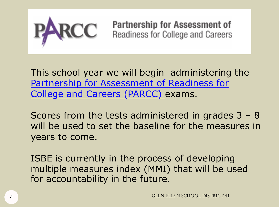

Partnership for Assessment of Readiness for College and Careers

This school year we will begin administering the [Partnership for Assessment of Readiness for](http://www.parcconline.org/for-parents)  [College and Careers \(PARCC\)](http://www.parcconline.org/for-parents) exams.

Scores from the tests administered in grades 3 – 8 will be used to set the baseline for the measures in years to come.

ISBE is currently in the process of developing multiple measures index (MMI) that will be used for accountability in the future.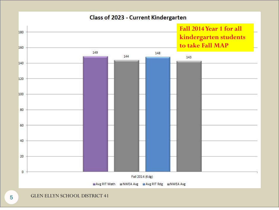### Class of 2023 - Current Kindergarten



5 GLEN ELLYN SCHOOL DISTRICT 41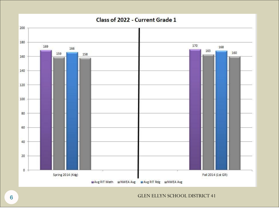

GLEN ELLYN SCHOOL DISTRICT 41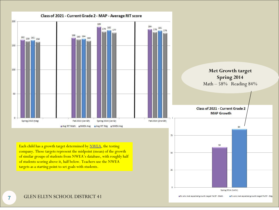

Who met expected growth target FA-SP - Math ■% who met expected growth target FA-SP - Rdg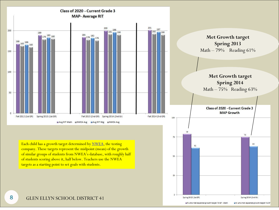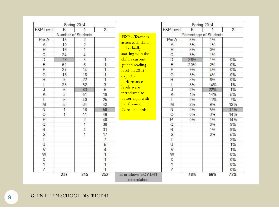| Spring 2014             |                |                    |                | Spring 2014                        |                         |       |                        |                |
|-------------------------|----------------|--------------------|----------------|------------------------------------|-------------------------|-------|------------------------|----------------|
| F&P Level               | Κ              | 1                  | $\overline{2}$ |                                    | F&P Level               | Κ     | 1                      | $\overline{2}$ |
|                         |                | Number of Students |                | <b>F&amp;P</b> -- Teachers         |                         |       | Percentage of Students |                |
| Pre-A                   | 15             | 2                  |                |                                    | Pre A                   | 5%    | 1%                     |                |
| Α                       | 10             | $\overline{2}$     |                | assess each child                  | A                       | 3%    | 1%                     |                |
| $\overline{B}$          | 16             | $\overline{1}$     |                | individually                       | B                       | 5%    | 0%                     |                |
| $\overline{c}$          | 24             | $\overline{4}$     |                | starting with the                  | $\overline{C}$          | 8%    | 1%                     |                |
| D                       | 78             | 5                  | 1              | child's current                    | D                       | 26%   | 1%                     | 0%             |
| E                       | 61             | $6\overline{6}$    | 1              | guided reading                     | E                       | 20%   | 2%                     | 0%             |
| F                       | 27             | 14                 | 1              | level. In 2013,                    | F                       | 9%    | 4%                     | 0%             |
| G                       | 16             | 16                 | $\overline{1}$ | expected                           | G                       | 5%    | 4%                     | 0%             |
| $\overline{H}$          | 9              | 22                 | 1              | performance                        | Η                       | 3%    | 6%                     | 0%             |
|                         | 25             | 52                 | 3              | levels were                        |                         | 8%    | 14%                    | 1%             |
| J                       | 6              | 83                 | 5              |                                    | J                       | 2%    | 22%                    | 1%             |
| K                       | $\overline{3}$ | 51                 | 19             | introduced to                      | Κ                       | 1%    | 14%                    | 5%             |
| L                       | 5              | 40                 | 25             | better align with                  | L                       | 2%    | 11%                    | 7%             |
| M                       | 5              | 34                 | 42             | the Common                         | M                       | 2%    | 9%                     | 12%            |
| Ν                       | 1              | 18                 | 58             | Core standards.                    | Ν                       | 0%    | 5%                     | 17%            |
| $\circ$                 | 1              | 11                 | 48             |                                    | $\circ$                 | $0\%$ | 3%                     | 14%            |
| $\overline{P}$          |                | $\overline{2}$     | 48             |                                    | P                       | $0\%$ | 1%                     | 14%            |
| Q                       |                | 1                  | 30             |                                    | Q                       |       | 0%                     | 9%             |
| R                       |                | $\overline{4}$     | 31             |                                    | $\overline{\mathsf{R}}$ |       | 1%                     | 9%             |
| $\overline{\mathbf{s}}$ |                | $\overline{1}$     | 17             |                                    | $\overline{s}$          |       | 0%                     | 5%             |
| $\overline{\mathsf{T}}$ |                |                    | $\overline{I}$ |                                    | T                       |       |                        | 2%             |
| Ū                       |                |                    | 5              |                                    | U                       |       |                        | 1%             |
| V                       |                |                    | 4              |                                    | V                       |       |                        | 1%             |
| W                       |                |                    | 1              |                                    | W                       |       |                        | 0%             |
| Χ                       |                |                    | 1              |                                    | X                       |       |                        | 0%             |
| Y                       |                |                    | 1              |                                    | Y                       |       |                        | 0%             |
| Z                       |                |                    | 1              |                                    | Z                       |       |                        | 0%             |
|                         | 237            | 245                | 252            | at or above EOY D41<br>expectation |                         | 78%   | 66%                    | 72%            |